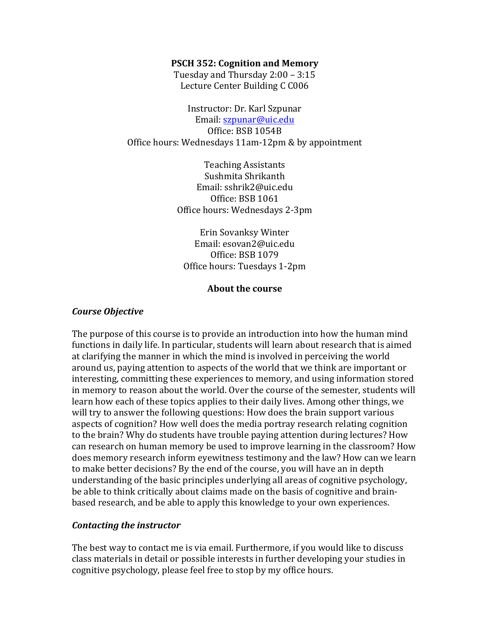#### **PSCH 352: Cognition and Memory**

Tuesday and Thursday  $2:00 - 3:15$ Lecture Center Building C C006

Instructor: Dr. Karl Szpunar Email: szpunar@uic.edu Office: BSB 1054B Office hours: Wednesdays 11am-12pm & by appointment

> Teaching Assistants Sushmita Shrikanth Email: sshrik2@uic.edu Office: BSB 1061 Office hours: Wednesdays 2-3pm

Erin Sovanksy Winter Email: esovan2@uic.edu Office: BSB 1079 Office hours: Tuesdays 1-2pm

#### **About the course**

### *Course Objective*

The purpose of this course is to provide an introduction into how the human mind functions in daily life. In particular, students will learn about research that is aimed at clarifying the manner in which the mind is involved in perceiving the world around us, paying attention to aspects of the world that we think are important or interesting, committing these experiences to memory, and using information stored in memory to reason about the world. Over the course of the semester, students will learn how each of these topics applies to their daily lives. Among other things, we will try to answer the following questions: How does the brain support various aspects of cognition? How well does the media portray research relating cognition to the brain? Why do students have trouble paying attention during lectures? How can research on human memory be used to improve learning in the classroom? How does memory research inform eyewitness testimony and the law? How can we learn to make better decisions? By the end of the course, you will have an in depth understanding of the basic principles underlying all areas of cognitive psychology, be able to think critically about claims made on the basis of cognitive and brainbased research, and be able to apply this knowledge to your own experiences.

### *Contacting the instructor*

The best way to contact me is via email. Furthermore, if you would like to discuss class materials in detail or possible interests in further developing your studies in cognitive psychology, please feel free to stop by my office hours.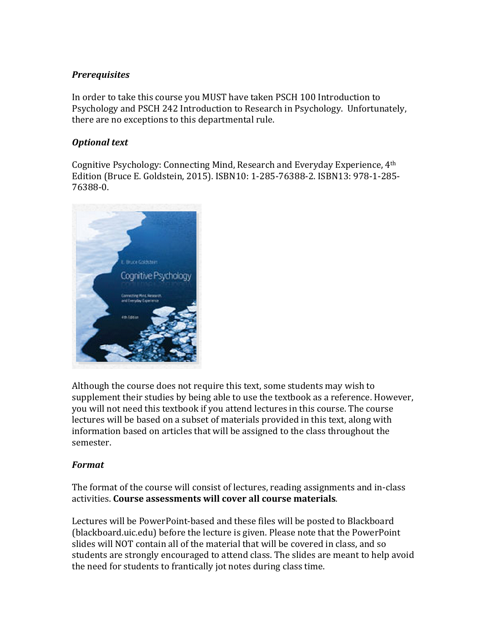# *Prerequisites*

In order to take this course you MUST have taken PSCH 100 Introduction to Psychology and PSCH 242 Introduction to Research in Psychology. Unfortunately, there are no exceptions to this departmental rule.

# **Optional** text

Cognitive Psychology: Connecting Mind, Research and Everyday Experience,  $4<sup>th</sup>$ Edition (Bruce E. Goldstein, 2015). ISBN10: 1-285-76388-2. ISBN13: 978-1-285-76388-0.



Although the course does not require this text, some students may wish to supplement their studies by being able to use the textbook as a reference. However, you will not need this textbook if you attend lectures in this course. The course lectures will be based on a subset of materials provided in this text, along with information based on articles that will be assigned to the class throughout the semester.

# *Format*

The format of the course will consist of lectures, reading assignments and in-class activities. Course assessments will cover all course materials.

Lectures will be PowerPoint-based and these files will be posted to Blackboard (blackboard.uic.edu) before the lecture is given. Please note that the PowerPoint slides will NOT contain all of the material that will be covered in class, and so students are strongly encouraged to attend class. The slides are meant to help avoid the need for students to frantically jot notes during class time.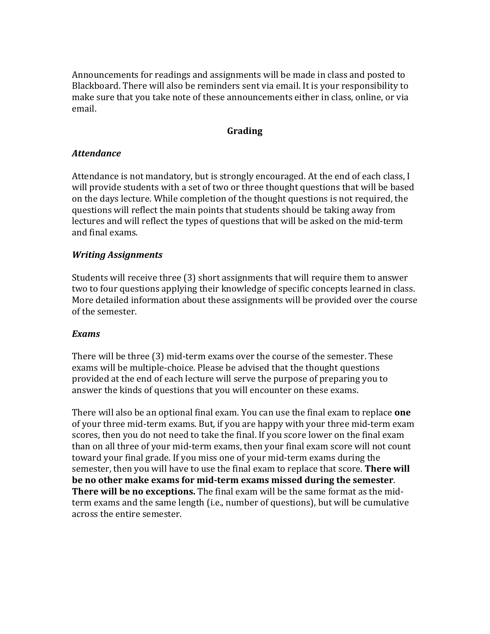Announcements for readings and assignments will be made in class and posted to Blackboard. There will also be reminders sent via email. It is your responsibility to make sure that you take note of these announcements either in class, online, or via email.

## **Grading**

# *Attendance*

Attendance is not mandatory, but is strongly encouraged. At the end of each class, I will provide students with a set of two or three thought questions that will be based on the days lecture. While completion of the thought questions is not required, the questions will reflect the main points that students should be taking away from lectures and will reflect the types of questions that will be asked on the mid-term and final exams.

# *Writing Assignments*

Students will receive three (3) short assignments that will require them to answer two to four questions applying their knowledge of specific concepts learned in class. More detailed information about these assignments will be provided over the course of the semester.

### *Exams*

There will be three (3) mid-term exams over the course of the semester. These exams will be multiple-choice. Please be advised that the thought questions provided at the end of each lecture will serve the purpose of preparing you to answer the kinds of questions that you will encounter on these exams.

There will also be an optional final exam. You can use the final exam to replace **one** of your three mid-term exams. But, if you are happy with your three mid-term exam scores, then you do not need to take the final. If you score lower on the final exam than on all three of your mid-term exams, then your final exam score will not count toward your final grade. If you miss one of your mid-term exams during the semester, then you will have to use the final exam to replace that score. **There will** be no other make exams for mid-term exams missed during the semester. **There will be no exceptions.** The final exam will be the same format as the midterm exams and the same length (i.e., number of questions), but will be cumulative across the entire semester.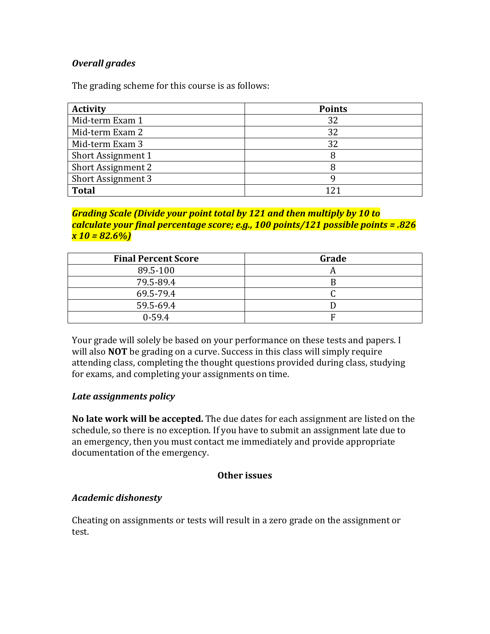# *Overall grades*

The grading scheme for this course is as follows:

| <b>Activity</b>    | <b>Points</b> |
|--------------------|---------------|
| Mid-term Exam 1    | 32            |
| Mid-term Exam 2    | 32            |
| Mid-term Exam 3    | 32            |
| Short Assignment 1 | 8             |
| Short Assignment 2 |               |
| Short Assignment 3 |               |
| <b>Total</b>       |               |

# *Grading Scale (Divide your point total by 121 and then multiply by 10 to calculate your final percentage score; e.g., 100 points/121 possible points = .826 x 10 = 82.6%)*

| <b>Final Percent Score</b> | Grade |
|----------------------------|-------|
| 89.5-100                   |       |
| 79.5-89.4                  |       |
| 69.5-79.4                  |       |
| 59.5-69.4                  |       |
| $0 - 59.4$                 |       |

Your grade will solely be based on your performance on these tests and papers. I will also **NOT** be grading on a curve. Success in this class will simply require attending class, completing the thought questions provided during class, studying for exams, and completing your assignments on time.

### *Late assignments policy*

**No late work will be accepted.** The due dates for each assignment are listed on the schedule, so there is no exception. If you have to submit an assignment late due to an emergency, then you must contact me immediately and provide appropriate documentation of the emergency.

### **Other issues**

### *Academic dishonesty*

Cheating on assignments or tests will result in a zero grade on the assignment or test.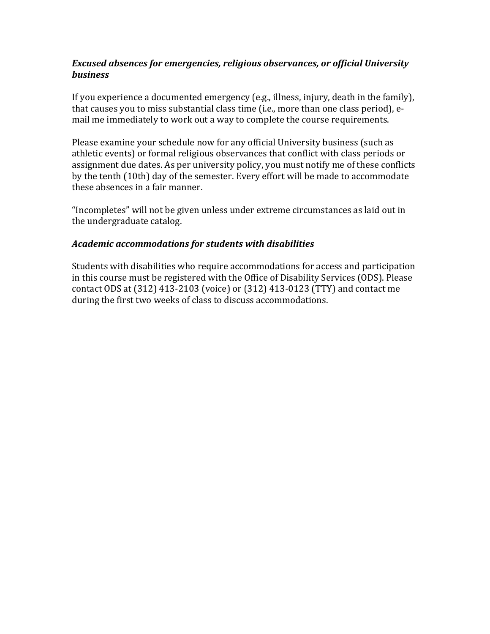# **Excused absences for emergencies, religious observances, or official University** *business*

If you experience a documented emergency  $(e.g.,$  illness, injury, death in the family), that causes you to miss substantial class time (i.e., more than one class period), email me immediately to work out a way to complete the course requirements.

Please examine your schedule now for any official University business (such as athletic events) or formal religious observances that conflict with class periods or assignment due dates. As per university policy, you must notify me of these conflicts by the tenth (10th) day of the semester. Every effort will be made to accommodate these absences in a fair manner.

"Incompletes" will not be given unless under extreme circumstances as laid out in the undergraduate catalog.

# *Academic accommodations for students with disabilities*

Students with disabilities who require accommodations for access and participation in this course must be registered with the Office of Disability Services (ODS). Please contact ODS at (312) 413-2103 (voice) or (312) 413-0123 (TTY) and contact me during the first two weeks of class to discuss accommodations.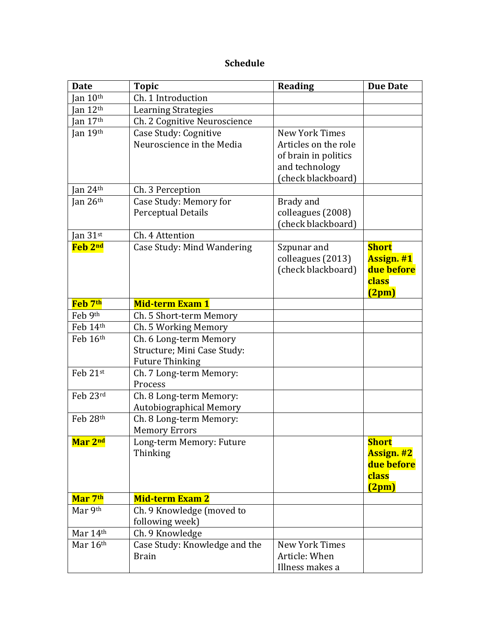# **Schedule**

| <b>Date</b>                | <b>Topic</b>                   | <b>Reading</b>        | <b>Due Date</b>   |
|----------------------------|--------------------------------|-----------------------|-------------------|
| $\int$ an 10 <sup>th</sup> | Ch. 1 Introduction             |                       |                   |
| $\int$ an 12 <sup>th</sup> | <b>Learning Strategies</b>     |                       |                   |
| Jan $17th$                 | Ch. 2 Cognitive Neuroscience   |                       |                   |
| Jan 19th                   | Case Study: Cognitive          | <b>New York Times</b> |                   |
|                            | Neuroscience in the Media      | Articles on the role  |                   |
|                            |                                | of brain in politics  |                   |
|                            |                                | and technology        |                   |
|                            |                                | (check blackboard)    |                   |
| Jan 24 $th$                | Ch. 3 Perception               |                       |                   |
| Jan $26th$                 | Case Study: Memory for         | Brady and             |                   |
|                            | <b>Perceptual Details</b>      | colleagues (2008)     |                   |
|                            |                                | (check blackboard)    |                   |
| Jan $31$ <sup>st</sup>     | Ch. 4 Attention                |                       |                   |
| Feb 2nd                    | Case Study: Mind Wandering     | Szpunar and           | <b>Short</b>      |
|                            |                                | colleagues (2013)     | <b>Assign. #1</b> |
|                            |                                | (check blackboard)    | due before        |
|                            |                                |                       | class             |
|                            |                                |                       | (2pm)             |
| Feb 7th                    | <b>Mid-term Exam 1</b>         |                       |                   |
| Feb 9th                    | Ch. 5 Short-term Memory        |                       |                   |
| Feb 14th                   | Ch. 5 Working Memory           |                       |                   |
| Feb 16th                   | Ch. 6 Long-term Memory         |                       |                   |
|                            | Structure; Mini Case Study:    |                       |                   |
|                            | <b>Future Thinking</b>         |                       |                   |
| Feb 21st                   | Ch. 7 Long-term Memory:        |                       |                   |
|                            | Process                        |                       |                   |
| Feb 23rd                   | Ch. 8 Long-term Memory:        |                       |                   |
|                            | <b>Autobiographical Memory</b> |                       |                   |
| Feb 28th                   | Ch. 8 Long-term Memory:        |                       |                   |
|                            | <b>Memory Errors</b>           |                       |                   |
| Mar 2nd                    | Long-term Memory: Future       |                       | <b>Short</b>      |
|                            | Thinking                       |                       | <b>Assign. #2</b> |
|                            |                                |                       | due before        |
|                            |                                |                       | class             |
|                            |                                |                       | (2pm)             |
| Mar 7th                    | <b>Mid-term Exam 2</b>         |                       |                   |
| Mar 9th                    | Ch. 9 Knowledge (moved to      |                       |                   |
|                            | following week)                |                       |                   |
| Mar 14th                   | Ch. 9 Knowledge                |                       |                   |
| Mar 16th                   | Case Study: Knowledge and the  | New York Times        |                   |
|                            | <b>Brain</b>                   | Article: When         |                   |
|                            |                                | Illness makes a       |                   |